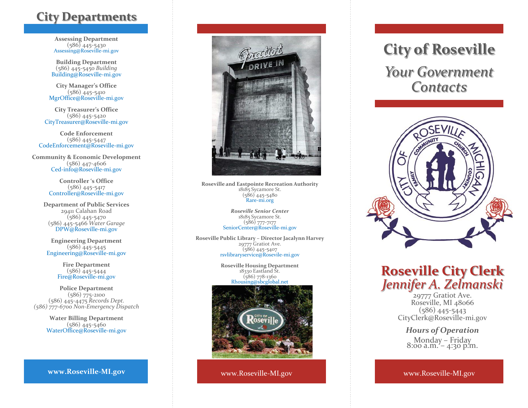## **City Departments**

**Assessing Department**  (586) 445 -5430 Assessing@Roseville -mi.gov

**Building Department** (586) 445-5450 *Building* Building@Roseville -mi.gov

**City Manager's Office** (586) 445 -5410 MgrOffice@Roseville -mi.gov

**City Treasurer's Office**  (586) 445 -5420 CityTreasurer@Roseville -mi.gov

**Code Enforcement** (586) 445 -5447 CodeEnforcement@Roseville -mi.gov

**Community & Economic Development** (586) 447-4606 Ced -info@Roseville -mi.gov

> **Controller 's Office**  (586) 445 -5417 Controller@Roseville -mi.gov

**Department of Public Services** 29411 Calahan Road (586) 445 -5470 (586) 445 -5466 *Water Garage* DPW@Roseville -mi.gov

**Engineering Department** (586) 445 -5445 Engineering@Roseville -mi.gov

> **Fire Department** (586) 445 -5444 Fire@Roseville -mi.gov

**Police Department** (586) 775 -2100 (586) 445 -4475 *Records Dept. (586) 777 -6700 Non -Emergency Dispatch*

> **Water Billing Department** (586) 445 -5460 WaterOffice@Roseville -mi.gov

### **www.Roseville -MI.gov**



**Roseville and Eastpointe Recreation Authority** 18185 Sycamore St. (586) 445 -5480 Rare -mi.org

> *Roseville Senior Center*  18185 Sycamore St. (586) 777 -7177 SeniorCenter@Roseville -mi.gov

**Roseville Public Library – Director Jacalynn Harvey** 29777 Gratiot Ave. (586) 445 -5407 rsvlibraryservice@Rosevile -mi.gov

> **Roseville Housing Department** 18330 Eastland St. (586) 778 -1360 Rhousing@sbcglobal.net



www.Roseville -MI.gov

# **City of Roseville**

*Your Government Contacts*



## **Roseville City Clerk**  *Jennifer A. Zelmanski*

29777 Gratiot Ave. Roseville, MI 48066 (586) 445 -5443 CityClerk@Roseville -mi.gov

### *Hours of Operation* Monday – Friday 8:00 a.m. – 4:30 p.m.

www.Roseville -MI.gov